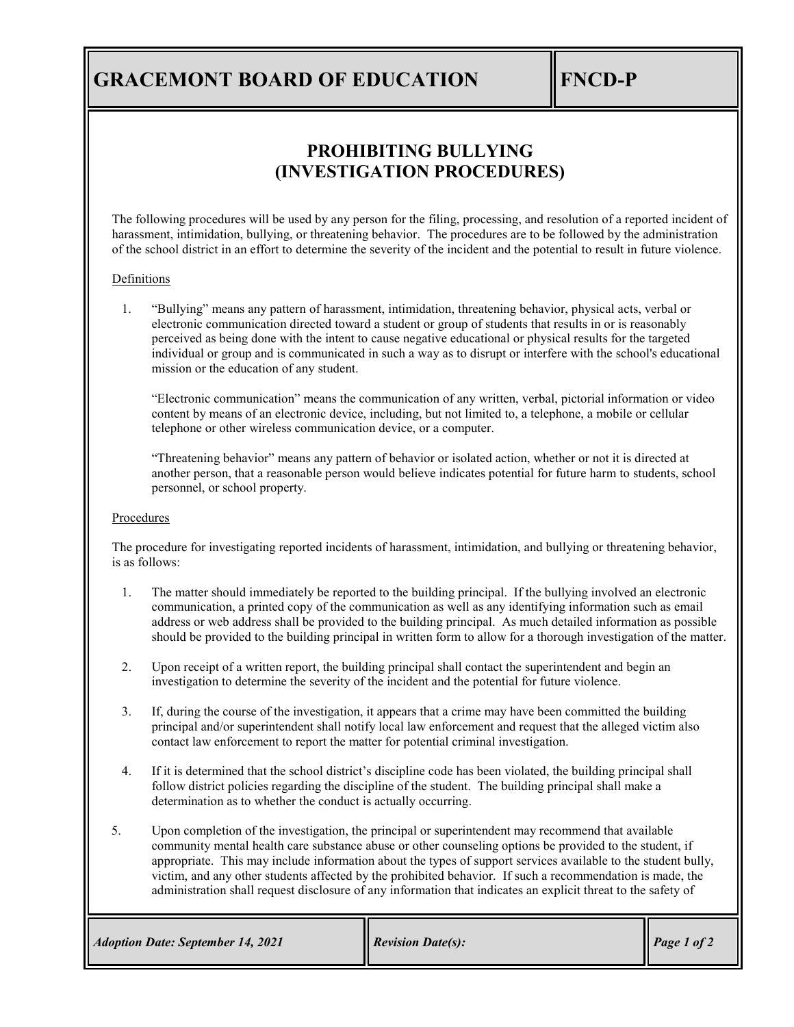# **GRACEMONT BOARD OF EDUCATION FINCD-P**

## **PROHIBITING BULLYING (INVESTIGATION PROCEDURES)**

The following procedures will be used by any person for the filing, processing, and resolution of a reported incident of harassment, intimidation, bullying, or threatening behavior. The procedures are to be followed by the administration of the school district in an effort to determine the severity of the incident and the potential to result in future violence.

#### **Definitions**

1. "Bullying" means any pattern of harassment, intimidation, threatening behavior, physical acts, verbal or electronic communication directed toward a student or group of students that results in or is reasonably perceived as being done with the intent to cause negative educational or physical results for the targeted individual or group and is communicated in such a way as to disrupt or interfere with the school's educational mission or the education of any student.

"Electronic communication" means the communication of any written, verbal, pictorial information or video content by means of an electronic device, including, but not limited to, a telephone, a mobile or cellular telephone or other wireless communication device, or a computer.

"Threatening behavior" means any pattern of behavior or isolated action, whether or not it is directed at another person, that a reasonable person would believe indicates potential for future harm to students, school personnel, or school property.

#### Procedures

The procedure for investigating reported incidents of harassment, intimidation, and bullying or threatening behavior, is as follows:

- 1. The matter should immediately be reported to the building principal. If the bullying involved an electronic communication, a printed copy of the communication as well as any identifying information such as email address or web address shall be provided to the building principal. As much detailed information as possible should be provided to the building principal in written form to allow for a thorough investigation of the matter.
- 2. Upon receipt of a written report, the building principal shall contact the superintendent and begin an investigation to determine the severity of the incident and the potential for future violence.
- 3. If, during the course of the investigation, it appears that a crime may have been committed the building principal and/or superintendent shall notify local law enforcement and request that the alleged victim also contact law enforcement to report the matter for potential criminal investigation.
- 4. If it is determined that the school district's discipline code has been violated, the building principal shall follow district policies regarding the discipline of the student. The building principal shall make a determination as to whether the conduct is actually occurring.
- 5. Upon completion of the investigation, the principal or superintendent may recommend that available community mental health care substance abuse or other counseling options be provided to the student, if appropriate. This may include information about the types of support services available to the student bully, victim, and any other students affected by the prohibited behavior. If such a recommendation is made, the administration shall request disclosure of any information that indicates an explicit threat to the safety of

| <b>Adoption Date: September 14, 2021</b> | <b>Revision Date(s):</b> | Page 1 of 2 |
|------------------------------------------|--------------------------|-------------|
|------------------------------------------|--------------------------|-------------|